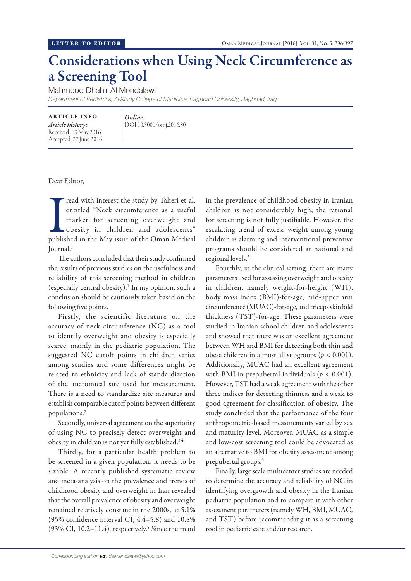## Considerations when Using Neck Circumference as a Screening Tool

Mahmood Dhahir Al-Mendalawi

*Department of Pediatrics, Al-Kindy College of Medicine, Baghdad University, Baghdad, Iraq*

ARTICLE INFO *Article history:* Received: 13 May 2016 Accepted: 27 June 2016

*Online:* DOI 10.5001/omj.2016.80

Dear Editor,

Tread with interest the study by Taheri et al,<br>entitled "Neck circumference as a useful<br>marker for screening overweight and<br>obesity in children and adolescents"<br>published in the May issue of the Oman Medical read with interest the study by Taheri et al, entitled "Neck circumference as a useful marker for screening overweight and obesity in children and adolescents" Journal.1

The authors concluded that their study confirmed the results of previous studies on the usefulness and reliability of this screening method in children (especially central obesity).1 In my opinion, such a conclusion should be cautiously taken based on the following five points.

Firstly, the scientific literature on the accuracy of neck circumference (NC) as a tool to identify overweight and obesity is especially scarce, mainly in the pediatric population. The suggested NC cutoff points in children varies among studies and some differences might be related to ethnicity and lack of standardization of the anatomical site used for measurement. There is a need to standardize site measures and establish comparable cutoff points between different populations.2

Secondly, universal agreement on the superiority of using NC to precisely detect overweight and obesity in children is not yet fully established.3,4

Thirdly, for a particular health problem to be screened in a given population, it needs to be sizable. A recently published systematic review and meta-analysis on the prevalence and trends of childhood obesity and overweight in Iran revealed that the overall prevalence of obesity and overweight remained relatively constant in the 2000s, at 5.1% (95% confidence interval CI, 4.4–5.8) and 10.8%  $(95\% \text{ CI}, 10.2-11.4)$ , respectively.<sup>5</sup> Since the trend in the prevalence of childhood obesity in Iranian children is not considerably high, the rational for screening is not fully justifiable. However, the escalating trend of excess weight among young children is alarming and interventional preventive programs should be considered at national and regional levels.5

Fourthly, in the clinical setting, there are many parameters used for assessing overweight and obesity in children, namely weight-for-height (WH), body mass index (BMI)-for-age, mid-upper arm circumference (MUAC)-for-age, and triceps skinfold thickness (TST)-for-age. These parameters were studied in Iranian school children and adolescents and showed that there was an excellent agreement between WH and BMI for detecting both thin and obese children in almost all subgroups (*p* < 0.001). Additionally, MUAC had an excellent agreement with BMI in prepubertal individuals ( $p < 0.001$ ). However, TST had a weak agreement with the other three indices for detecting thinness and a weak to good agreement for classification of obesity. The study concluded that the performance of the four anthropometric-based measurements varied by sex and maturity level. Moreover, MUAC as a simple and low-cost screening tool could be advocated as an alternative to BMI for obesity assessment among prepubertal groups.<sup>6</sup>

Finally, large scale multicenter studies are needed to determine the accuracy and reliability of NC in identifying overgrowth and obesity in the Iranian pediatric population and to compare it with other assessment parameters (namely WH, BMI, MUAC, and TST) before recommending it as a screening tool in pediatric care and/or research.